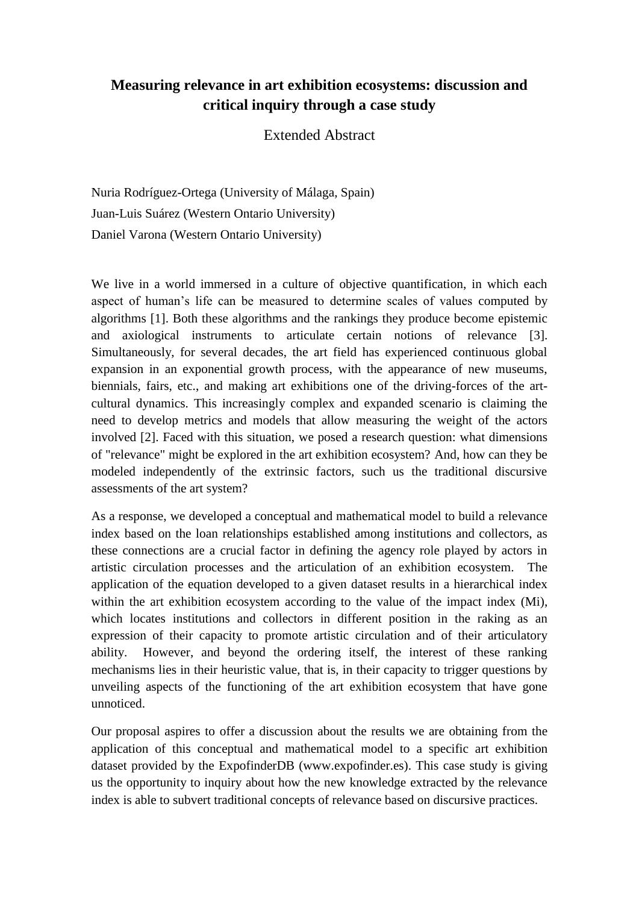## **Measuring relevance in art exhibition ecosystems: discussion and critical inquiry through a case study**

## Extended Abstract

Nuria Rodríguez-Ortega (University of Málaga, Spain) Juan-Luis Suárez (Western Ontario University) Daniel Varona (Western Ontario University)

We live in a world immersed in a culture of objective quantification, in which each aspect of human's life can be measured to determine scales of values computed by algorithms [1]. Both these algorithms and the rankings they produce become epistemic and axiological instruments to articulate certain notions of relevance [3]. Simultaneously, for several decades, the art field has experienced continuous global expansion in an exponential growth process, with the appearance of new museums, biennials, fairs, etc., and making art exhibitions one of the driving-forces of the artcultural dynamics. This increasingly complex and expanded scenario is claiming the need to develop metrics and models that allow measuring the weight of the actors involved [2]. Faced with this situation, we posed a research question: what dimensions of "relevance" might be explored in the art exhibition ecosystem? And, how can they be modeled independently of the extrinsic factors, such us the traditional discursive assessments of the art system?

As a response, we developed a conceptual and mathematical model to build a relevance index based on the loan relationships established among institutions and collectors, as these connections are a crucial factor in defining the agency role played by actors in artistic circulation processes and the articulation of an exhibition ecosystem. The application of the equation developed to a given dataset results in a hierarchical index within the art exhibition ecosystem according to the value of the impact index (Mi), which locates institutions and collectors in different position in the raking as an expression of their capacity to promote artistic circulation and of their articulatory ability. However, and beyond the ordering itself, the interest of these ranking mechanisms lies in their heuristic value, that is, in their capacity to trigger questions by unveiling aspects of the functioning of the art exhibition ecosystem that have gone unnoticed.

Our proposal aspires to offer a discussion about the results we are obtaining from the application of this conceptual and mathematical model to a specific art exhibition dataset provided by the ExpofinderDB (www.expofinder.es). This case study is giving us the opportunity to inquiry about how the new knowledge extracted by the relevance index is able to subvert traditional concepts of relevance based on discursive practices.